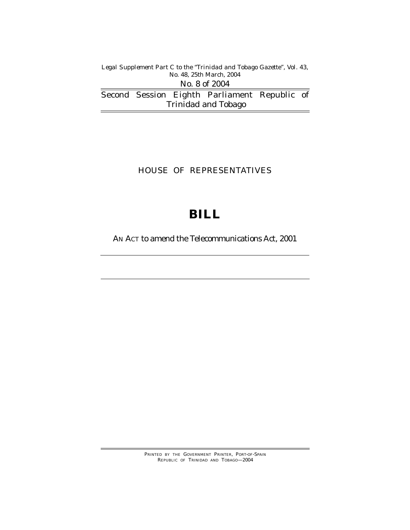*Legal Supplement Part C to the "Trinidad and Tobago Gazette'', Vol. 43, No. 48, 25th March, 2004*

Second Session Eighth Parliament Republic of Trinidad and Tobago No. 8 of 2004

### HOUSE OF REPRESENTATIVES

# **BILL**

AN ACT to amend the Telecommunications Act, 2001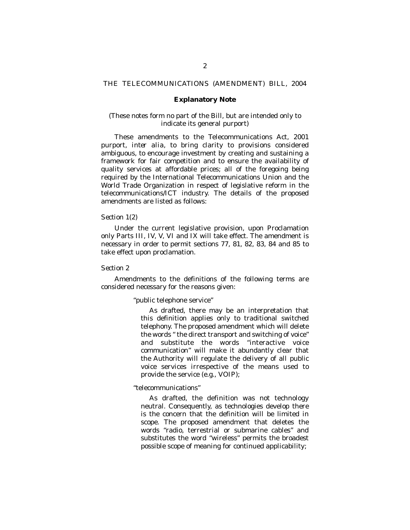#### THE TELECOMMUNICATIONS (AMENDMENT) BILL, 2004

#### **Explanatory Note**

#### (These notes form no part of the Bill, but are intended only to indicate its general purport)

These amendments to the Telecommunications Act, 2001 purport, *inter alia*, to bring clarity to provisions considered ambiguous, to encourage investment by creating and sustaining a framework for fair competition and to ensure the availability of quality services at affordable prices; all of the foregoing being required by the International Telecommunications Union and the World Trade Organization in respect of legislative reform in the telecommunications/ICT industry. The details of the proposed amendments are listed as follows:

#### *Section 1(2)*

Under the current legislative provision, upon Proclamation only Parts III, IV, V, VI and IX will take effect. The amendment is necessary in order to permit sections 77, 81, 82, 83, 84 and 85 to take effect upon proclamation.

#### *Section 2*

Amendments to the definitions of the following terms are considered necessary for the reasons given:

#### "public telephone service"

As drafted, there may be an interpretation that this definition applies only to traditional switched telephony. The proposed amendment which will delete the words " the direct transport and switching of voice" and substitute the words "interactive voice communication" will make it abundantly clear that the Authority will regulate the delivery of all public voice services irrespective of the means used to provide the service (e.g., VOIP);

#### "telecommunications"

As drafted, the definition was not technology neutral. Consequently, as technologies develop there is the concern that the definition will be limited in scope. The proposed amendment that deletes the words "radio, terrestrial or submarine cables" and substitutes the word "wireless" permits the broadest possible scope of meaning for continued applicability;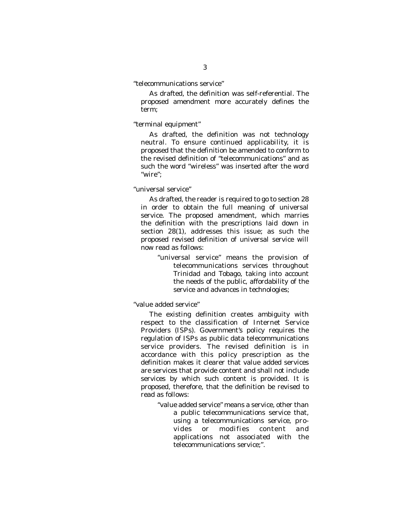*"*telecommunications service"

As drafted, the definition was self-referential. The proposed amendment more accurately defines the term;

#### *"*terminal equipment"

As drafted, the definition was not technology neutral. To ensure continued applicability, it is proposed that the definition be amended to conform to the revised definition of "telecommunications" and as such the word "wireless" was inserted after the word "wire";

#### *"*universal service"

As drafted, the reader is required to go to section 28 in order to obtain the full meaning of universal service. The proposed amendment, which marries the definition with the prescriptions laid down in section 28(1), addresses this issue; as such the proposed revised definition of universal service will now read as follows:

"universal service" means the provision of telecommunications services throughout Trinidad and Tobago, taking into account the needs of the public, affordability of the service and advances in technologies;

"value added service"

The existing definition creates ambiguity with respect to the classification of Internet Service Providers (ISPs). Government's policy requires the regulation of ISPs as public data telecommunications service providers. The revised definition is in accordance with this policy prescription as the definition makes it clearer that value added services are services that provide content and shall not include services by which such content is provided. It is proposed, therefore, that the definition be revised to read as follows:

"value added service" means a service, other than a public telecommunications service that, using a telecommunications service, provides or modifies content and applications not associated with the telecommunications service;".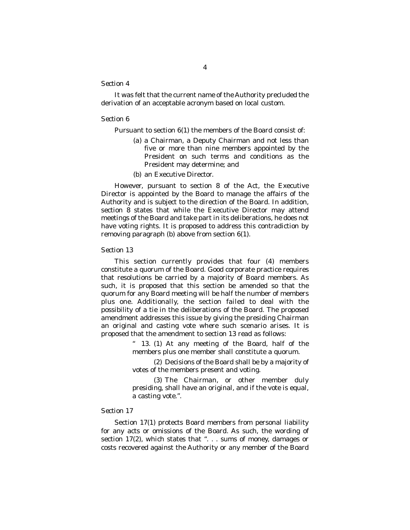It was felt that the current name of the Authority precluded the derivation of an acceptable acronym based on local custom.

#### *Section 6*

Pursuant to section 6(1) the members of the Board consist of:

- *(a)* a Chairman, a Deputy Chairman and not less than five or more than nine members appointed by the President on such terms and conditions as the President may determine; and
- *(b)* an Executive Director.

However, pursuant to section 8 of the Act, the Executive Director is appointed by the Board to manage the affairs of the Authority and is subject to the direction of the Board. In addition, section 8 states that while the Executive Director may attend meetings of the Board and take part in its deliberations, he does not have voting rights. It is proposed to address this contradiction by removing paragraph *(b)* above from section 6(1).

#### *Section 13*

This section currently provides that four (4) members constitute a quorum of the Board. Good corporate practice requires that resolutions be carried by a majority of Board members. As such, it is proposed that this section be amended so that the quorum for any Board meeting will be half the number of members plus one. Additionally, the section failed to deal with the possibility of a tie in the deliberations of the Board. The proposed amendment addresses this issue by giving the presiding Chairman an original and casting vote where such scenario arises. It is proposed that the amendment to section 13 read as follows:

> 13. (1) At any meeting of the Board, half of the members plus one member shall constitute a quorum.

> (2) Decisions of the Board shall be by a majority of votes of the members present and voting.

> (3) The Chairman, or other member duly presiding, shall have an original, and if the vote is equal, a casting vote.".

#### *Section 17*

Section 17(1) protects Board members from personal liability for any acts or omissions of the Board. As such, the wording of section 17(2), which states that ". . . sums of money, damages or costs recovered against the Authority or any member of the Board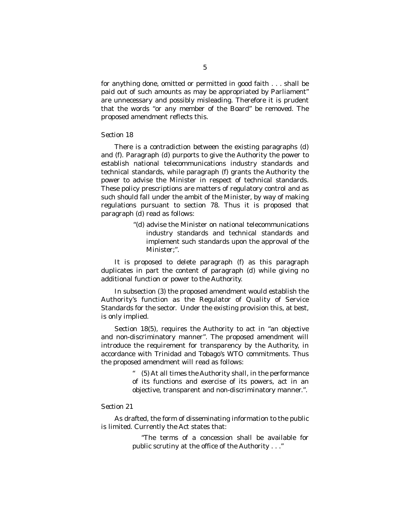for anything done, omitted or permitted in good faith . . . shall be paid out of such amounts as may be appropriated by Parliament" are unnecessary and possibly misleading. Therefore it is prudent that the words "or any member of the Board" be removed. The proposed amendment reflects this.

#### *Section 18*

There is a contradiction between the existing paragraphs *(d)* and *(f)*. Paragraph *(d)* purports to give the Authority the power to establish national telecommunications industry standards and technical standards, while paragraph *(f)* grants the Authority the power to advise the Minister in respect of technical standards. These policy prescriptions are matters of regulatory control and as such should fall under the ambit of the Minister, by way of making regulations pursuant to section 78. Thus it is proposed that paragraph *(d)* read as follows:

> "*(d)* advise the Minister on national telecommunications industry standards and technical standards and implement such standards upon the approval of the Minister;".

It is proposed to delete paragraph *(f)* as this paragraph duplicates in part the content of paragraph *(d)* while giving no additional function or power to the Authority.

In subsection (3) the proposed amendment would establish the Authority's function as the Regulator of Quality of Service Standards for the sector. Under the existing provision this, at best, is only implied.

Section 18(5), requires the Authority to act in "an objective and non-discriminatory manner". The proposed amendment will introduce the requirement for transparency by the Authority, in accordance with Trinidad and Tobago's WTO commitments. Thus the proposed amendment will read as follows:

> " (5) At all times the Authority shall, in the performance of its functions and exercise of its powers, act in an objective, transparent and non-discriminatory manner.".

#### *Section 21*

As drafted, the form of disseminating information to the public is limited. Currently the Act states that:

> "The terms of a concession shall be available for public scrutiny at the office of the Authority . . ."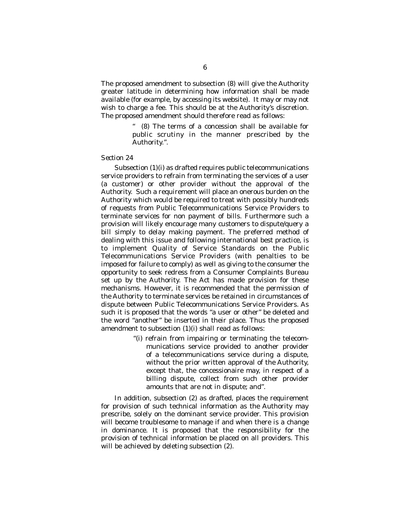The proposed amendment to subsection (8) will give the Authority greater latitude in determining how information shall be made available (for example, by accessing its website). It may or may not wish to charge a fee. This should be at the Authority's discretion. The proposed amendment should therefore read as follows:

> (8) The terms of a concession shall be available for public scrutiny in the manner prescribed by the Authority.".

#### *Section 24*

Subsection (1)(i) as drafted requires public telecommunications service providers to refrain from terminating the services of a user (a customer) or other provider without the approval of the Authority. Such a requirement will place an onerous burden on the Authority which would be required to treat with possibly hundreds of requests from Public Telecommunications Service Providers to terminate services for non payment of bills. Furthermore such a provision will likely encourage many customers to dispute/query a bill simply to delay making payment. The preferred method of dealing with this issue and following international best practice, is to implement Quality of Service Standards on the Public Telecommunications Service Providers (with penalties to be imposed for failure to comply) as well as giving to the consumer the opportunity to seek redress from a Consumer Complaints Bureau set up by the Authority. The Act has made provision for these mechanisms. However, it is recommended that the permission of the Authority to terminate services be retained in circumstances of dispute between Public Telecommunications Service Providers. As such it is proposed that the words "a user or other" be deleted and the word "another" be inserted in their place. Thus the proposed amendment to subsection (1)(i) shall read as follows:

> "(i) refrain from impairing or terminating the telecommunications service provided to another provider of a telecommunications service during a dispute, without the prior written approval of the Authority, except that, the concessionaire may, in respect of a billing dispute, collect from such other provider amounts that are not in dispute; and".

In addition, subsection (2) as drafted, places the requirement for provision of such technical information as the Authority may prescribe, solely on the dominant service provider. This provision will become troublesome to manage if and when there is a change in dominance. It is proposed that the responsibility for the provision of technical information be placed on all providers. This will be achieved by deleting subsection (2).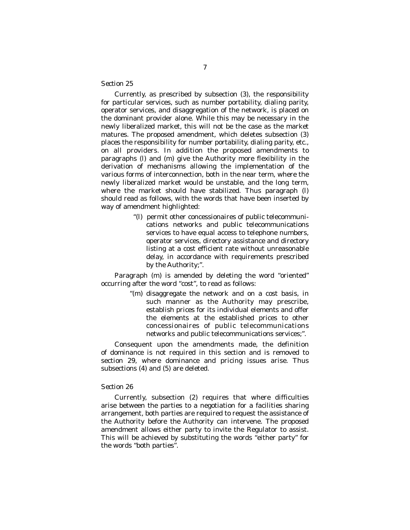Currently, as prescribed by subsection (3), the responsibility for particular services, such as number portability, dialing parity, operator services, and disaggregation of the network, is placed on the dominant provider alone. While this may be necessary in the newly liberalized market, this will not be the case as the market matures. The proposed amendment, which deletes subsection (3) places the responsibility for number portability, dialing parity, etc., on all providers. In addition the proposed amendments to paragraphs *(l)* and *(m)* give the Authority more flexibility in the derivation of mechanisms allowing the implementation of the various forms of interconnection, both in the near term, where the newly liberalized market would be unstable, and the long term, where the market should have stabilized. Thus paragraph *(l)* should read as follows, with the words that have been inserted by way of amendment highlighted:

> "*(l)* permit other concessionaires of public telecommunications networks and public telecommunications services to have equal access to telephone numbers, operator services, directory assistance and directory listing at a cost efficient rate without unreasonable delay, in accordance with requirements prescribed by the Authority;".

Paragraph *(m)* is amended by deleting the word "oriented" occurring after the word "cost", to read as follows:

> "*(m)* disaggregate the network and on a cost basis, in such manner as the Authority may prescribe, establish prices for its individual elements and offer the elements at the established prices to other concessionaires of public telecommunications networks and public telecommunications services;".

Consequent upon the amendments made, the definition of dominance is not required in this section and is removed to section 29, where dominance and pricing issues arise. Thus subsections (4) and (5) are deleted.

#### *Section 26*

Currently, subsection (2) requires that where difficulties arise between the parties to a negotiation for a facilities sharing arrangement, both parties are required to request the assistance of the Authority before the Authority can intervene. The proposed amendment allows either party to invite the Regulator to assist. This will be achieved by substituting the words "either party" for the words "both parties".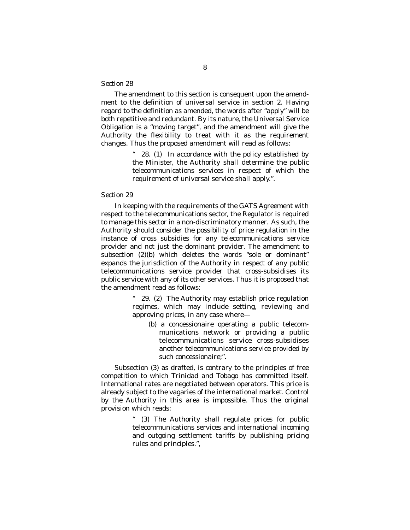The amendment to this section is consequent upon the amendment to the definition of universal service in section 2. Having regard to the definition as amended, the words after "apply" will be both repetitive and redundant. By its nature, the Universal Service Obligation is a "moving target", and the amendment will give the Authority the flexibility to treat with it as the requirement changes. Thus the proposed amendment will read as follows:

> 28. (1) In accordance with the policy established by the Minister, the Authority shall determine the public telecommunications services in respect of which the requirement of universal service shall apply.".

#### *Section 29*

In keeping with the requirements of the GATS Agreement with respect to the telecommunications sector, the Regulator is required to manage this sector in a non-discriminatory manner. As such, the Authority should consider the possibility of price regulation in the instance of cross subsidies for any telecommunications service provider and not just the dominant provider. The amendment to subsection (2)(b) which deletes the words "sole or dominant" expands the jurisdiction of the Authority in respect of any public telecommunications service provider that cross-subsidises its public service with any of its other services. Thus it is proposed that the amendment read as follows:

> " 29. (2) The Authority may establish price regulation regimes, which may include setting, reviewing and approving prices, in any case where—

*(b)* a concessionaire operating a public telecommunications network or providing a public telecommunications service cross-subsidises another telecommunications service provided by such concessionaire;".

Subsection (3) as drafted, is contrary to the principles of free competition to which Trinidad and Tobago has committed itself. International rates are negotiated between operators. This price is already subject to the vagaries of the international market. Control by the Authority in this area is impossible. Thus the original provision which reads:

> " (3) The Authority shall regulate prices for public telecommunications services and international incoming and outgoing settlement tariffs by publishing pricing rules and principles.",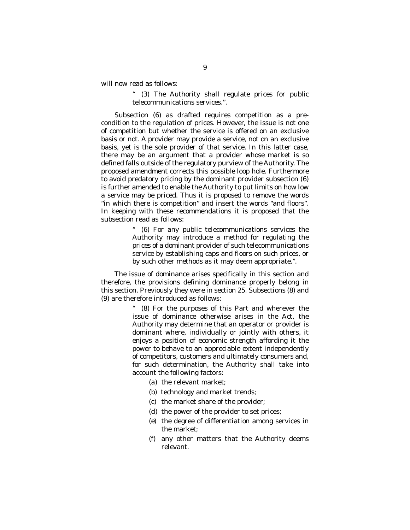will now read as follows:

" (3) The Authority shall regulate prices for public telecommunications services.".

Subsection (6) as drafted requires competition as a precondition to the regulation of prices. However, the issue is not one of competition but whether the service is offered on an exclusive basis or not. A provider may provide a service, not on an exclusive basis, yet is the sole provider of that service. In this latter case, there may be an argument that a provider whose market is so defined falls outside of the regulatory purview of the Authority. The proposed amendment corrects this possible loop hole. Furthermore to avoid predatory pricing by the dominant provider subsection (6) is further amended to enable the Authority to put limits on how low a service may be priced. Thus it is proposed to remove the words "in which there is competition" and insert the words "and floors". In keeping with these recommendations it is proposed that the subsection read as follows:

> " (6) For any public telecommunications services the Authority may introduce a method for regulating the prices of a dominant provider of such telecommunications service by establishing caps and floors on such prices, or by such other methods as it may deem appropriate.".

The issue of dominance arises specifically in this section and therefore, the provisions defining dominance properly belong in this section. Previously they were in section 25. Subsections (8) and (9) are therefore introduced as follows:

> (8) For the purposes of this Part and wherever the issue of dominance otherwise arises in the Act, the Authority may determine that an operator or provider is dominant where, individually or jointly with others, it enjoys a position of economic strength affording it the power to behave to an appreciable extent independently of competitors, customers and ultimately consumers and, for such determination, the Authority shall take into account the following factors:

- *(a)* the relevant market;
- *(b)* technology and market trends;
- *(c)* the market share of the provider;
- *(d)* the power of the provider to set prices;
- *(e)* the degree of differentiation among services in the market;
- *(f)* any other matters that the Authority deems relevant.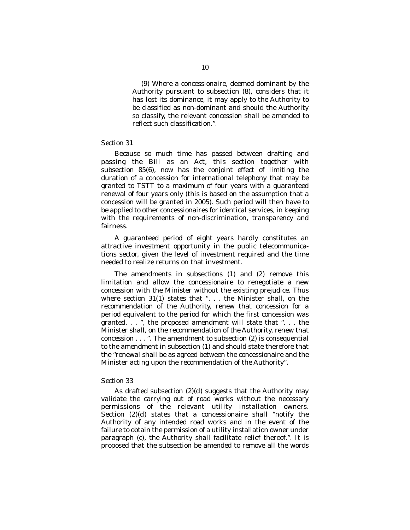(9) Where a concessionaire, deemed dominant by the Authority pursuant to subsection (8), considers that it has lost its dominance, it may apply to the Authority to be classified as non-dominant and should the Authority so classify, the relevant concession shall be amended to reflect such classification.".

#### *Section 31*

Because so much time has passed between drafting and passing the Bill as an Act, this section together with subsection 85(6), now has the conjoint effect of limiting the duration of a concession for international telephony that may be granted to TSTT to a maximum of four years with a guaranteed renewal of four years only (this is based on the assumption that a concession will be granted in 2005). Such period will then have to be applied to other concessionaires for identical services, in keeping with the requirements of non-discrimination, transparency and fairness.

A guaranteed period of eight years hardly constitutes an attractive investment opportunity in the public telecommunications sector, given the level of investment required and the time needed to realize returns on that investment.

The amendments in subsections (1) and (2) remove this limitation and allow the concessionaire to renegotiate a new concession with the Minister without the existing prejudice. Thus where section 31(1) states that ". . . the Minister shall, on the recommendation of the Authority, renew that concession for a period equivalent to the period for which the first concession was granted. . . ", the proposed amendment will state that ". . . the Minister shall, on the recommendation of the Authority, renew that concession . . . ". The amendment to subsection (2) is consequential to the amendment in subsection (1) and should state therefore that the "renewal shall be as agreed between the concessionaire and the Minister acting upon the recommendation of the Authority".

#### *Section 33*

As drafted subsection (2)*(d)* suggests that the Authority may validate the carrying out of road works without the necessary permissions of the relevant utility installation owners. Section (2)*(d)* states that a concessionaire shall "notify the Authority of any intended road works and in the event of the failure to obtain the permission of a utility installation owner under paragraph *(c)*, the Authority shall facilitate relief thereof.". It is proposed that the subsection be amended to remove all the words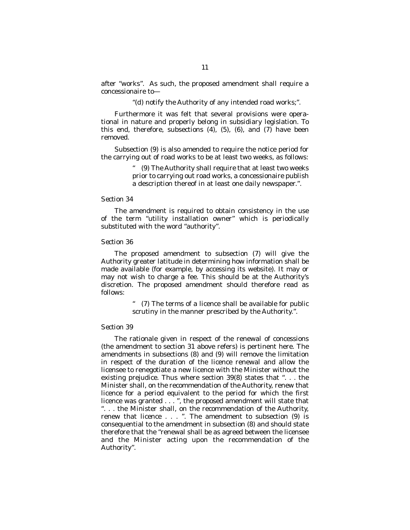after "works". As such, the proposed amendment shall require a concessionaire to—

"*(d)* notify the Authority of any intended road works;".

Furthermore it was felt that several provisions were operational in nature and properly belong in subsidiary legislation. To this end, therefore, subsections (4), (5), (6), and (7) have been removed.

Subsection (9) is also amended to require the notice period for the carrying out of road works to be at least two weeks, as follows:

> (9) The Authority shall require that at least two weeks prior to carrying out road works, a concessionaire publish a description thereof in at least one daily newspaper.".

#### *Section 34*

The amendment is required to obtain consistency in the use of the term "utility installation owner" which is periodically substituted with the word "authority".

#### *Section 36*

The proposed amendment to subsection (7) will give the Authority greater latitude in determining how information shall be made available (for example, by accessing its website). It may or may not wish to charge a fee. This should be at the Authority's discretion. The proposed amendment should therefore read as follows:

> " (7) The terms of a licence shall be available for public scrutiny in the manner prescribed by the Authority.".

#### *Section 39*

The rationale given in respect of the renewal of concessions (the amendment to section 31 above refers) is pertinent here. The amendments in subsections (8) and (9) will remove the limitation in respect of the duration of the licence renewal and allow the licensee to renegotiate a new licence with the Minister without the existing prejudice. Thus where section 39(8) states that ". . . the Minister shall, on the recommendation of the Authority, renew that licence for a period equivalent to the period for which the first licence was granted . . . ", the proposed amendment will state that ". . . the Minister shall, on the recommendation of the Authority, renew that licence . . . ". The amendment to subsection (9) is consequential to the amendment in subsection (8) and should state therefore that the "renewal shall be as agreed between the licensee and the Minister acting upon the recommendation of the Authority".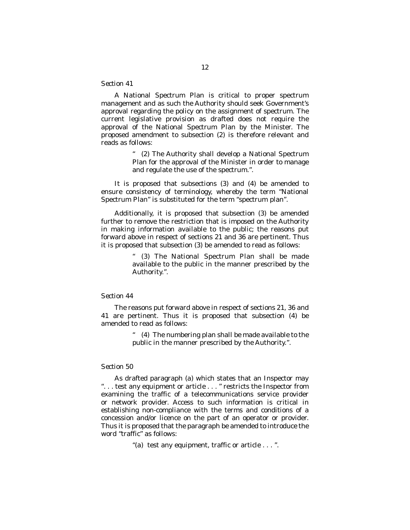A National Spectrum Plan is critical to proper spectrum management and as such the Authority should seek Government's approval regarding the policy on the assignment of spectrum. The current legislative provision as drafted does not require the approval of the National Spectrum Plan by the Minister. The proposed amendment to subsection (2) is therefore relevant and reads as follows:

> " (2) The Authority shall develop a National Spectrum Plan for the approval of the Minister in order to manage and regulate the use of the spectrum.".

It is proposed that subsections (3) and (4) be amended to ensure consistency of terminology, whereby the term "National Spectrum Plan" is substituted for the term "spectrum plan".

Additionally, it is proposed that subsection (3) be amended further to remove the restriction that is imposed on the Authority in making information available to the public; the reasons put forward above in respect of sections 21 and 36 are pertinent. Thus it is proposed that subsection (3) be amended to read as follows:

> " (3) The National Spectrum Plan shall be made available to the public in the manner prescribed by the Authority.".

#### *Section 44*

The reasons put forward above in respect of sections 21, 36 and 41 are pertinent. Thus it is proposed that subsection (4) be amended to read as follows:

> " (4) The numbering plan shall be made available to the public in the manner prescribed by the Authority.".

#### *Section 50*

As drafted paragraph *(a)* which states that an Inspector may ". . . test any equipment or article . . . " restricts the Inspector from examining the traffic of a telecommunications service provider or network provider. Access to such information is critical in establishing non-compliance with the terms and conditions of a concession and/or licence on the part of an operator or provider. Thus it is proposed that the paragraph be amended to introduce the word "traffic" as follows:

"*(a)* test any equipment, traffic or article . . . ".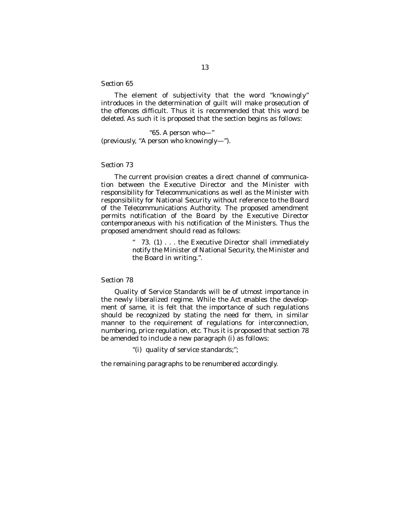The element of subjectivity that the word "knowingly" introduces in the determination of guilt will make prosecution of the offences difficult. Thus it is recommended that this word be deleted. As such it is proposed that the section begins as follows:

"65. A person who—" (previously, "A person who knowingly—").

#### *Section 73*

The current provision creates a direct channel of communication between the Executive Director and the Minister with responsibility for Telecommunications as well as the Minister with responsibility for National Security without reference to the Board of the Telecommunications Authority. The proposed amendment permits notification of the Board by the Executive Director contemporaneous with his notification of the Ministers. Thus the proposed amendment should read as follows:

> 73. (1) . . . the Executive Director shall immediately notify the Minister of National Security, the Minister and the Board in writing.".

#### *Section 78*

Quality of Service Standards will be of utmost importance in the newly liberalized regime. While the Act enables the development of same, it is felt that the importance of such regulations should be recognized by stating the need for them, in similar manner to the requirement of regulations for interconnection, numbering, price regulation, etc. Thus it is proposed that section 78 be amended to include a new paragraph *(i)* as follows:

"*(i)* quality of service standards;";

the remaining paragraphs to be renumbered accordingly.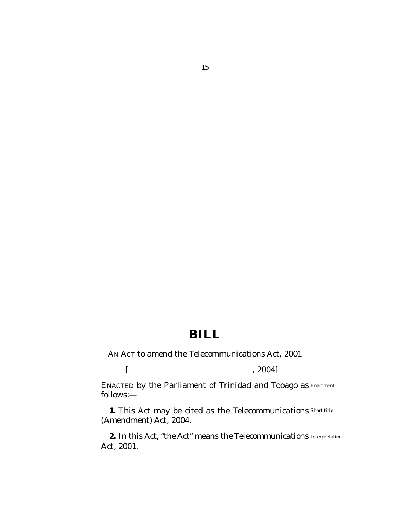## **BILL**

AN ACT to amend the Telecommunications Act, 2001

*[ , 2004]*

ENACTED by the Parliament of Trinidad and Tobago as Enactment follows:—

**1.** This Act may be cited as the Telecommunications Short title (Amendment) Act, 2004.

**2.** In this Act, "the Act" means the Telecommunications Interpretation Act, 2001.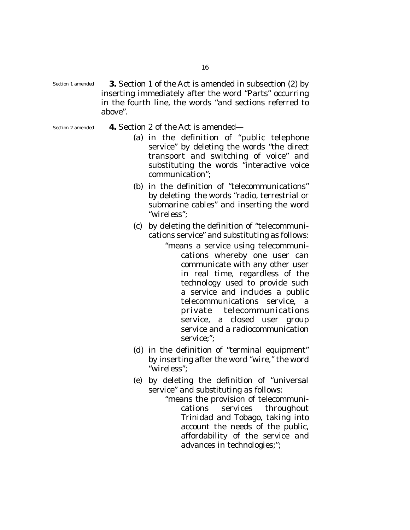- **3.** Section 1 of the Act is amended in subsection (2) by inserting immediately after the word "Parts" occurring in the fourth line, the words "and sections referred to above". Section 1 amended
- Section 2 amended
- **4.** Section 2 of the Act is amended—
	- *(a)* in the definition of "public telephone service" by deleting the words "the direct transport and switching of voice" and substituting the words "interactive voice communication";
	- *(b)* in the definition of "telecommunications" by deleting the words "radio, terrestrial or submarine cables" and inserting the word "wireless";
	- *(c)* by deleting the definition of "telecommunications service" and substituting as follows:
		- "means a service using telecommunications whereby one user can communicate with any other user in real time, regardless of the technology used to provide such a service and includes a public telecommunications service, a private telecommunications service, a closed user group service and a radiocommunication service;";
	- *(d)* in the definition of "terminal equipment" by inserting after the word "wire," the word "wireless";
	- *(e)* by deleting the definition of "universal service" and substituting as follows:
		- "means the provision of telecommunications services throughout Trinidad and Tobago, taking into account the needs of the public, affordability of the service and advances in technologies;";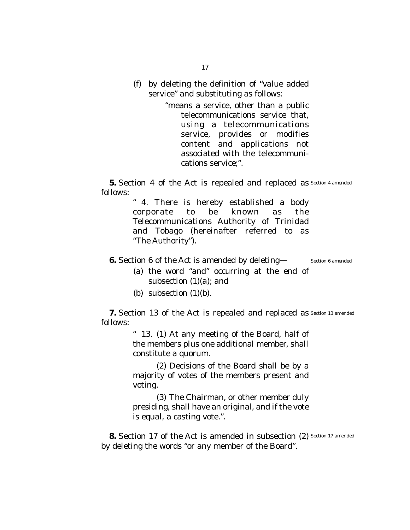*(f)* by deleting the definition of "value added service" and substituting as follows:

> "means a service, other than a public telecommunications service that, using a telecommunications service, provides or modifies content and applications not associated with the telecommunications service;".

**5.** Section 4 of the Act is repealed and replaced as Section 4 amended follows:

> " 4. There is hereby established a body corporate to be known as the Telecommunications Authority of Trinidad and Tobago (hereinafter referred to as "The Authority").

- **6.** Section 6 of the Act is amended by deleting— Section 6 amended
	- *(a)* the word "and" occurring at the end of subsection (1)*(a)*; and
	- *(b)* subsection (1)*(b)*.

**7.** Section 13 of the Act is repealed and replaced as Section 13 amended follows:

> " 13. (1) At any meeting of the Board, half of the members plus one additional member, shall constitute a quorum.

> (2) Decisions of the Board shall be by a majority of votes of the members present and voting.

> (3) The Chairman, or other member duly presiding, shall have an original, and if the vote is equal, a casting vote.".

**8.** Section 17 of the Act is amended in subsection (2) Section 17 amended by deleting the words "or any member of the Board".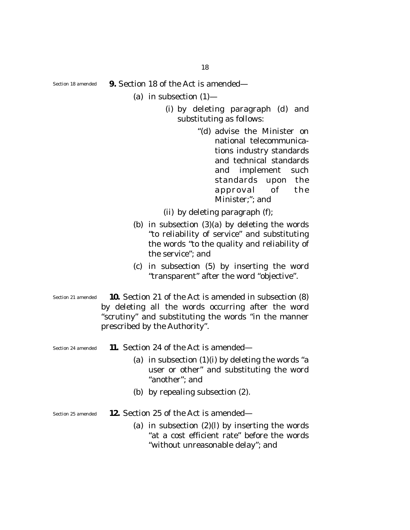18

Section 18 amended

- **9.** Section 18 of the Act is amended—
	- *(a)* in subsection (1)—
		- (i) by deleting paragraph *(d)* and substituting as follows:
			- "*(d)* advise the Minister on national telecommunications industry standards and technical standards and implement such standards upon the approval of the Minister;"; and

(ii) by deleting paragraph *(f);* 

- *(b)* in subsection (3)*(a)* by deleting the words "to reliability of service" and substituting the words "to the quality and reliability of the service"; and
- *(c)* in subsection (5) by inserting the word "transparent" after the word "objective".
- **10.** Section 21 of the Act is amended in subsection (8) by deleting all the words occurring after the word "scrutiny" and substituting the words "in the manner prescribed by the Authority". Section 21 amended

Section 24 amended

- **11.** Section 24 of the Act is amended—
	- *(a)* in subsection (1)*(i)* by deleting the words "a user or other" and substituting the word "another"; and
	- *(b)* by repealing subsection (2).

**12.** Section 25 of the Act is amended— Section 25 amended

> *(a)* in subsection (2)*(l)* by inserting the words "at a cost efficient rate" before the words "without unreasonable delay"; and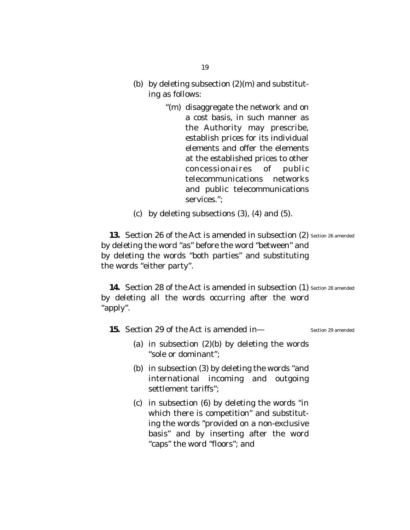- *(b)* by deleting subsection (2)*(m)* and substituting as follows:
	- "*(m)* disaggregate the network and on a cost basis, in such manner as the Authority may prescribe, establish prices for its individual elements and offer the elements at the established prices to other concessionaires of public telecommunications networks and public telecommunications services.";
- *(c)* by deleting subsections (3), (4) and (5).

13. Section 26 of the Act is amended in subsection (2) Section 26 amended by deleting the word "as" before the word "between" and by deleting the words "both parties" and substituting the words "either party".

14. Section 28 of the Act is amended in subsection (1) Section 28 amended by deleting all the words occurring after the word "apply".

**15.** Section 29 of the Act is amended in— Section 29 amended

- *(a)* in subsection (2)*(b)* by deleting the words "sole or dominant";
- *(b)* in subsection (3) by deleting the words "and international incoming and outgoing settlement tariffs";
- *(c)* in subsection (6) by deleting the words "in which there is competition" and substituting the words "provided on a non-exclusive basis" and by inserting after the word "caps" the word "floors"; and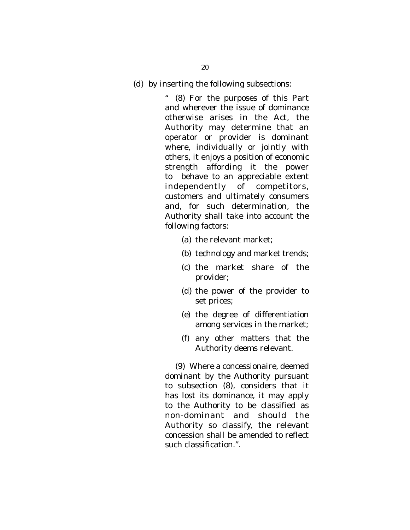*(d)* by inserting the following subsections:

" (8) For the purposes of this Part and wherever the issue of dominance otherwise arises in the Act, the Authority may determine that an operator or provider is dominant where, individually or jointly with others, it enjoys a position of economic strength affording it the power to behave to an appreciable extent independently of competitors, customers and ultimately consumers and, for such determination, the Authority shall take into account the following factors:

- *(a)* the relevant market;
- *(b)* technology and market trends;
- *(c)* the market share of the provider;
- *(d)* the power of the provider to set prices;
- *(e)* the degree of differentiation among services in the market;
- *(f)* any other matters that the Authority deems relevant.

(9) Where a concessionaire, deemed dominant by the Authority pursuant to subsection (8), considers that it has lost its dominance, it may apply to the Authority to be classified as non-dominant and should the Authority so classify, the relevant concession shall be amended to reflect such classification.".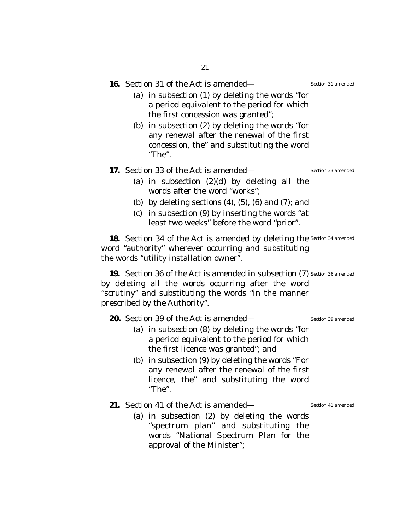|  |  |  | <b>16.</b> Section 31 of the Act is amended— |
|--|--|--|----------------------------------------------|
|  |  |  |                                              |

- *(a)* in subsection (1) by deleting the words "for a period equivalent to the period for which the first concession was granted";
- *(b)* in subsection (2) by deleting the words "for any renewal after the renewal of the first concession, the" and substituting the word "The".

#### **17.** Section 33 of the Act is amended— Section 33 amended

- *(a)* in subsection (2)*(d)* by deleting all the words after the word "works";
- *(b)* by deleting sections (4), (5), (6) and (7); and
- *(c)* in subsection (9) by inserting the words "at least two weeks" before the word "prior".

**18.** Section 34 of the Act is amended by deleting the Section 34 amended word "authority" wherever occurring and substituting the words "utility installation owner".

**19.** Section 36 of the Act is amended in subsection (7) Section 36 amended by deleting all the words occurring after the word "scrutiny" and substituting the words "in the manner prescribed by the Authority".

**20.** Section 39 of the Act is amended— Section 39 amended

- 
- *(a)* in subsection (8) by deleting the words "for a period equivalent to the period for which the first licence was granted"; and
- *(b)* in subsection (9) by deleting the words "For any renewal after the renewal of the first licence, the" and substituting the word "The".

**21.** Section 41 of the Act is amended—

Section 41 amended

*(a)* in subsection (2) by deleting the words "spectrum plan" and substituting the words "National Spectrum Plan for the approval of the Minister";

Section 31 amended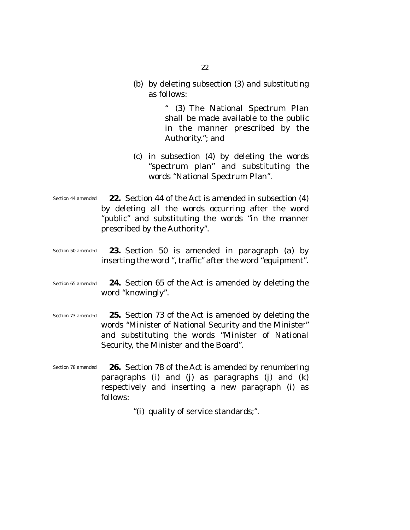*(b)* by deleting subsection (3) and substituting as follows:

> " (3) The National Spectrum Plan shall be made available to the public in the manner prescribed by the Authority."; and

- *(c)* in subsection (4) by deleting the words "spectrum plan" and substituting the words "National Spectrum Plan".
- **22.** Section 44 of the Act is amended in subsection (4) by deleting all the words occurring after the word "public" and substituting the words "in the manner prescribed by the Authority". Section 44 amended
- **23.** Section 50 is amended in paragraph *(a)* by inserting the word ", traffic" after the word "equipment". Section 50 amended
- **24.** Section 65 of the Act is amended by deleting the word "knowingly". Section 65 amended
- **25.** Section 73 of the Act is amended by deleting the words "Minister of National Security and the Minister" and substituting the words "Minister of National Security, the Minister and the Board". Section 73 amended
- **26.** Section 78 of the Act is amended by renumbering paragraphs *(i)* and *(j)* as paragraphs *(j*) and *(k)* respectively and inserting a new paragraph *(i)* as follows: Section 78 amended

"*(i)* quality of service standards;".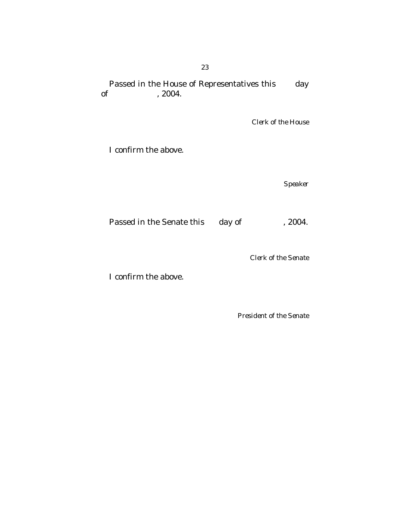## Passed in the House of Representatives this day of  $, 2004$ .  $, 2004.$

*Clerk of the House*

I confirm the above.

*Speaker*

Passed in the Senate this day of , 2004.

*Clerk of the Senate*

I confirm the above.

*President of the Senate*